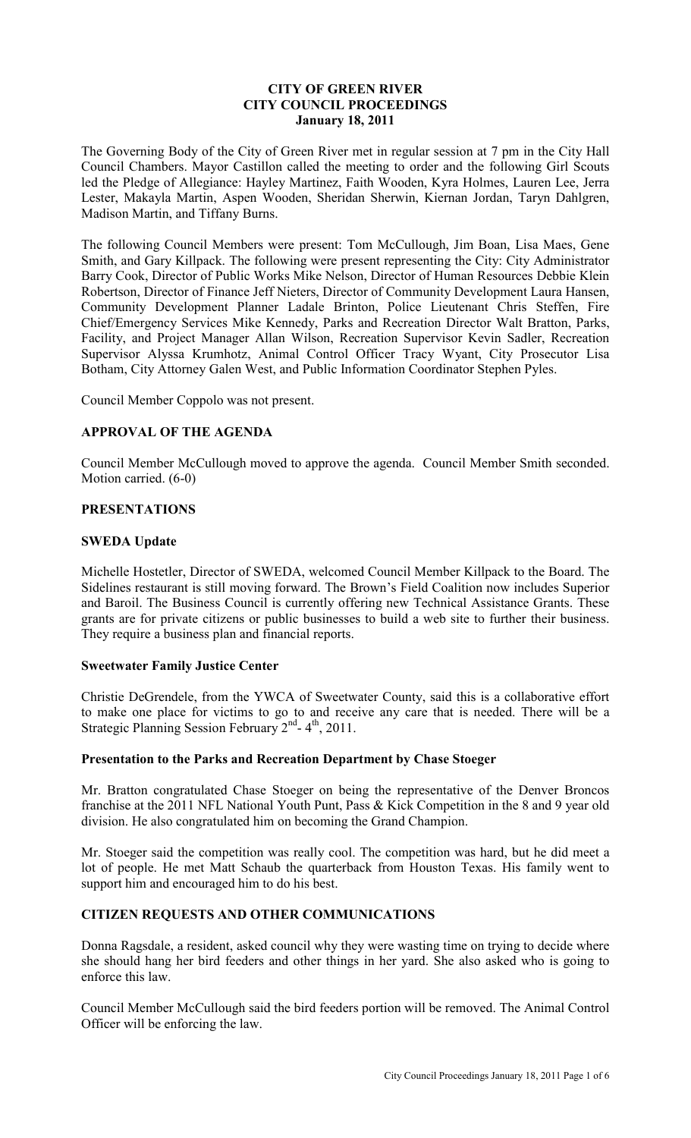## **CITY OF GREEN RIVER CITY COUNCIL PROCEEDINGS January 18, 2011**

The Governing Body of the City of Green River met in regular session at 7 pm in the City Hall Council Chambers. Mayor Castillon called the meeting to order and the following Girl Scouts led the Pledge of Allegiance: Hayley Martinez, Faith Wooden, Kyra Holmes, Lauren Lee, Jerra Lester, Makayla Martin, Aspen Wooden, Sheridan Sherwin, Kiernan Jordan, Taryn Dahlgren, Madison Martin, and Tiffany Burns.

The following Council Members were present: Tom McCullough, Jim Boan, Lisa Maes, Gene Smith, and Gary Killpack. The following were present representing the City: City Administrator Barry Cook, Director of Public Works Mike Nelson, Director of Human Resources Debbie Klein Robertson, Director of Finance Jeff Nieters, Director of Community Development Laura Hansen, Community Development Planner Ladale Brinton, Police Lieutenant Chris Steffen, Fire Chief/Emergency Services Mike Kennedy, Parks and Recreation Director Walt Bratton, Parks, Facility, and Project Manager Allan Wilson, Recreation Supervisor Kevin Sadler, Recreation Supervisor Alyssa Krumhotz, Animal Control Officer Tracy Wyant, City Prosecutor Lisa Botham, City Attorney Galen West, and Public Information Coordinator Stephen Pyles.

Council Member Coppolo was not present.

## **APPROVAL OF THE AGENDA**

Council Member McCullough moved to approve the agenda. Council Member Smith seconded. Motion carried. (6-0)

## **PRESENTATIONS**

## **SWEDA Update**

Michelle Hostetler, Director of SWEDA, welcomed Council Member Killpack to the Board. The Sidelines restaurant is still moving forward. The Brown's Field Coalition now includes Superior and Baroil. The Business Council is currently offering new Technical Assistance Grants. These grants are for private citizens or public businesses to build a web site to further their business. They require a business plan and financial reports.

## **Sweetwater Family Justice Center**

Christie DeGrendele, from the YWCA of Sweetwater County, said this is a collaborative effort to make one place for victims to go to and receive any care that is needed. There will be a Strategic Planning Session February  $2^{nd}$ - 4<sup>th</sup>, 2011.

## **Presentation to the Parks and Recreation Department by Chase Stoeger**

Mr. Bratton congratulated Chase Stoeger on being the representative of the Denver Broncos franchise at the 2011 NFL National Youth Punt, Pass & Kick Competition in the 8 and 9 year old division. He also congratulated him on becoming the Grand Champion.

Mr. Stoeger said the competition was really cool. The competition was hard, but he did meet a lot of people. He met Matt Schaub the quarterback from Houston Texas. His family went to support him and encouraged him to do his best.

## **CITIZEN REQUESTS AND OTHER COMMUNICATIONS**

Donna Ragsdale, a resident, asked council why they were wasting time on trying to decide where she should hang her bird feeders and other things in her yard. She also asked who is going to enforce this law.

Council Member McCullough said the bird feeders portion will be removed. The Animal Control Officer will be enforcing the law.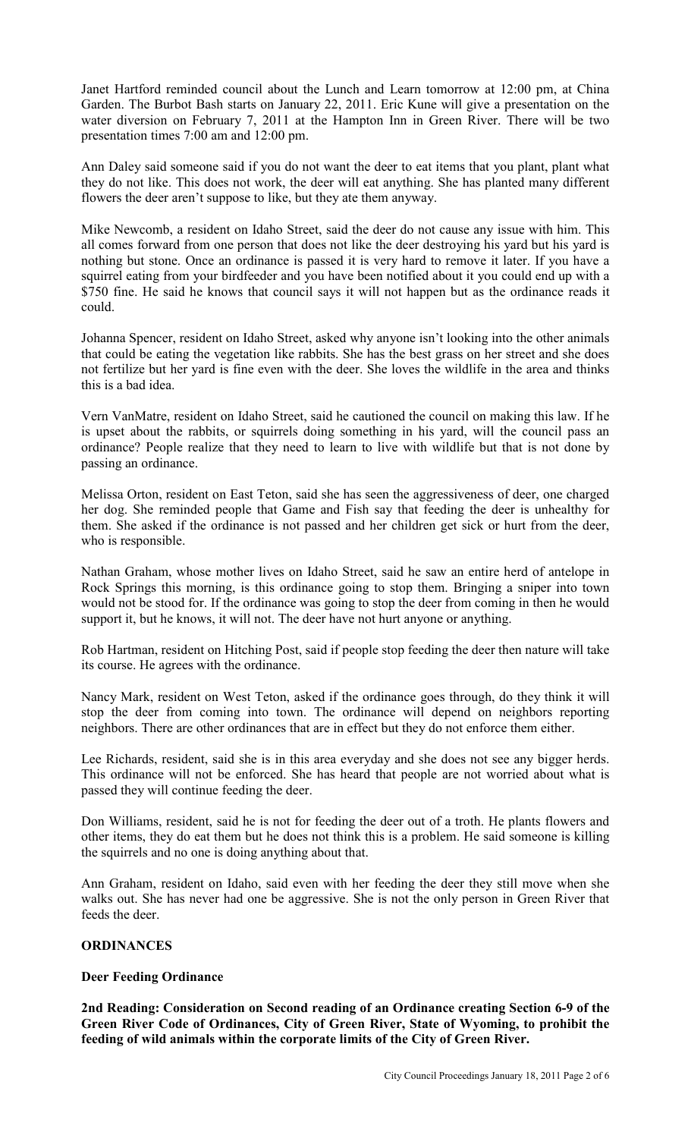Janet Hartford reminded council about the Lunch and Learn tomorrow at 12:00 pm, at China Garden. The Burbot Bash starts on January 22, 2011. Eric Kune will give a presentation on the water diversion on February 7, 2011 at the Hampton Inn in Green River. There will be two presentation times 7:00 am and 12:00 pm.

Ann Daley said someone said if you do not want the deer to eat items that you plant, plant what they do not like. This does not work, the deer will eat anything. She has planted many different flowers the deer aren't suppose to like, but they ate them anyway.

Mike Newcomb, a resident on Idaho Street, said the deer do not cause any issue with him. This all comes forward from one person that does not like the deer destroying his yard but his yard is nothing but stone. Once an ordinance is passed it is very hard to remove it later. If you have a squirrel eating from your birdfeeder and you have been notified about it you could end up with a \$750 fine. He said he knows that council says it will not happen but as the ordinance reads it could.

Johanna Spencer, resident on Idaho Street, asked why anyone isn't looking into the other animals that could be eating the vegetation like rabbits. She has the best grass on her street and she does not fertilize but her yard is fine even with the deer. She loves the wildlife in the area and thinks this is a bad idea.

Vern VanMatre, resident on Idaho Street, said he cautioned the council on making this law. If he is upset about the rabbits, or squirrels doing something in his yard, will the council pass an ordinance? People realize that they need to learn to live with wildlife but that is not done by passing an ordinance.

Melissa Orton, resident on East Teton, said she has seen the aggressiveness of deer, one charged her dog. She reminded people that Game and Fish say that feeding the deer is unhealthy for them. She asked if the ordinance is not passed and her children get sick or hurt from the deer, who is responsible.

Nathan Graham, whose mother lives on Idaho Street, said he saw an entire herd of antelope in Rock Springs this morning, is this ordinance going to stop them. Bringing a sniper into town would not be stood for. If the ordinance was going to stop the deer from coming in then he would support it, but he knows, it will not. The deer have not hurt anyone or anything.

Rob Hartman, resident on Hitching Post, said if people stop feeding the deer then nature will take its course. He agrees with the ordinance.

Nancy Mark, resident on West Teton, asked if the ordinance goes through, do they think it will stop the deer from coming into town. The ordinance will depend on neighbors reporting neighbors. There are other ordinances that are in effect but they do not enforce them either.

Lee Richards, resident, said she is in this area everyday and she does not see any bigger herds. This ordinance will not be enforced. She has heard that people are not worried about what is passed they will continue feeding the deer.

Don Williams, resident, said he is not for feeding the deer out of a troth. He plants flowers and other items, they do eat them but he does not think this is a problem. He said someone is killing the squirrels and no one is doing anything about that.

Ann Graham, resident on Idaho, said even with her feeding the deer they still move when she walks out. She has never had one be aggressive. She is not the only person in Green River that feeds the deer.

## **ORDINANCES**

## **Deer Feeding Ordinance**

**2nd Reading: Consideration on Second reading of an Ordinance creating Section 6-9 of the Green River Code of Ordinances, City of Green River, State of Wyoming, to prohibit the feeding of wild animals within the corporate limits of the City of Green River.**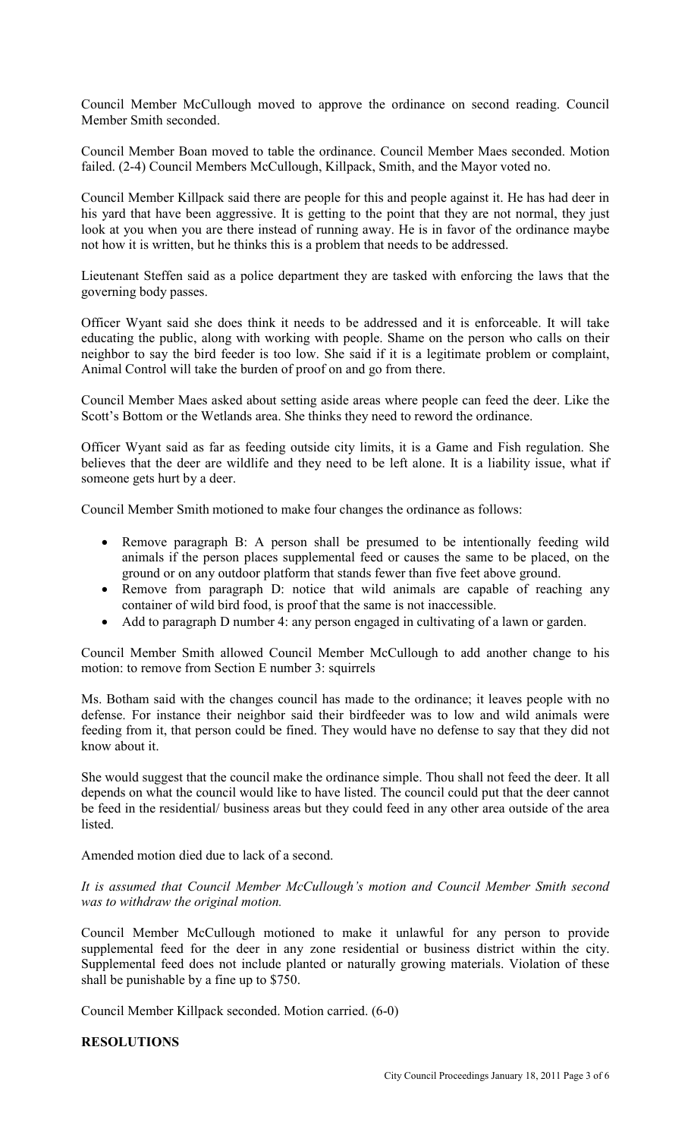Council Member McCullough moved to approve the ordinance on second reading. Council Member Smith seconded.

Council Member Boan moved to table the ordinance. Council Member Maes seconded. Motion failed. (2-4) Council Members McCullough, Killpack, Smith, and the Mayor voted no.

Council Member Killpack said there are people for this and people against it. He has had deer in his yard that have been aggressive. It is getting to the point that they are not normal, they just look at you when you are there instead of running away. He is in favor of the ordinance maybe not how it is written, but he thinks this is a problem that needs to be addressed.

Lieutenant Steffen said as a police department they are tasked with enforcing the laws that the governing body passes.

Officer Wyant said she does think it needs to be addressed and it is enforceable. It will take educating the public, along with working with people. Shame on the person who calls on their neighbor to say the bird feeder is too low. She said if it is a legitimate problem or complaint, Animal Control will take the burden of proof on and go from there.

Council Member Maes asked about setting aside areas where people can feed the deer. Like the Scott's Bottom or the Wetlands area. She thinks they need to reword the ordinance.

Officer Wyant said as far as feeding outside city limits, it is a Game and Fish regulation. She believes that the deer are wildlife and they need to be left alone. It is a liability issue, what if someone gets hurt by a deer.

Council Member Smith motioned to make four changes the ordinance as follows:

- Remove paragraph B: A person shall be presumed to be intentionally feeding wild animals if the person places supplemental feed or causes the same to be placed, on the ground or on any outdoor platform that stands fewer than five feet above ground.
- Remove from paragraph D: notice that wild animals are capable of reaching any container of wild bird food, is proof that the same is not inaccessible.
- Add to paragraph D number 4: any person engaged in cultivating of a lawn or garden.

Council Member Smith allowed Council Member McCullough to add another change to his motion: to remove from Section E number 3: squirrels

Ms. Botham said with the changes council has made to the ordinance; it leaves people with no defense. For instance their neighbor said their birdfeeder was to low and wild animals were feeding from it, that person could be fined. They would have no defense to say that they did not know about it.

She would suggest that the council make the ordinance simple. Thou shall not feed the deer. It all depends on what the council would like to have listed. The council could put that the deer cannot be feed in the residential/ business areas but they could feed in any other area outside of the area listed.

Amended motion died due to lack of a second.

*It is assumed that Council Member McCullough's motion and Council Member Smith second was to withdraw the original motion.* 

Council Member McCullough motioned to make it unlawful for any person to provide supplemental feed for the deer in any zone residential or business district within the city. Supplemental feed does not include planted or naturally growing materials. Violation of these shall be punishable by a fine up to \$750.

Council Member Killpack seconded. Motion carried. (6-0)

## **RESOLUTIONS**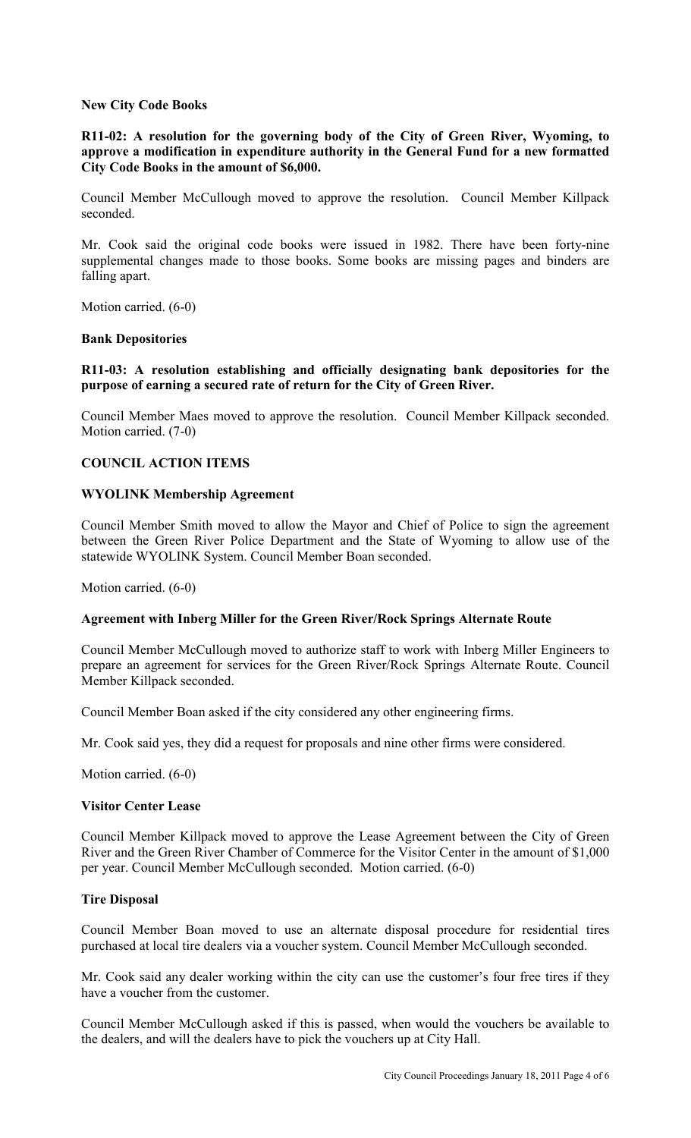## **New City Code Books**

**R11-02: A resolution for the governing body of the City of Green River, Wyoming, to approve a modification in expenditure authority in the General Fund for a new formatted City Code Books in the amount of \$6,000.**

Council Member McCullough moved to approve the resolution. Council Member Killpack seconded.

Mr. Cook said the original code books were issued in 1982. There have been forty-nine supplemental changes made to those books. Some books are missing pages and binders are falling apart.

Motion carried. (6-0)

## **Bank Depositories**

## **R11-03: A resolution establishing and officially designating bank depositories for the purpose of earning a secured rate of return for the City of Green River.**

Council Member Maes moved to approve the resolution. Council Member Killpack seconded. Motion carried. (7-0)

## **COUNCIL ACTION ITEMS**

## **WYOLINK Membership Agreement**

Council Member Smith moved to allow the Mayor and Chief of Police to sign the agreement between the Green River Police Department and the State of Wyoming to allow use of the statewide WYOLINK System. Council Member Boan seconded.

Motion carried. (6-0)

## **Agreement with Inberg Miller for the Green River/Rock Springs Alternate Route**

Council Member McCullough moved to authorize staff to work with Inberg Miller Engineers to prepare an agreement for services for the Green River/Rock Springs Alternate Route. Council Member Killpack seconded.

Council Member Boan asked if the city considered any other engineering firms.

Mr. Cook said yes, they did a request for proposals and nine other firms were considered.

Motion carried. (6-0)

#### **Visitor Center Lease**

Council Member Killpack moved to approve the Lease Agreement between the City of Green River and the Green River Chamber of Commerce for the Visitor Center in the amount of \$1,000 per year. Council Member McCullough seconded. Motion carried. (6-0)

## **Tire Disposal**

Council Member Boan moved to use an alternate disposal procedure for residential tires purchased at local tire dealers via a voucher system. Council Member McCullough seconded.

Mr. Cook said any dealer working within the city can use the customer's four free tires if they have a voucher from the customer.

Council Member McCullough asked if this is passed, when would the vouchers be available to the dealers, and will the dealers have to pick the vouchers up at City Hall.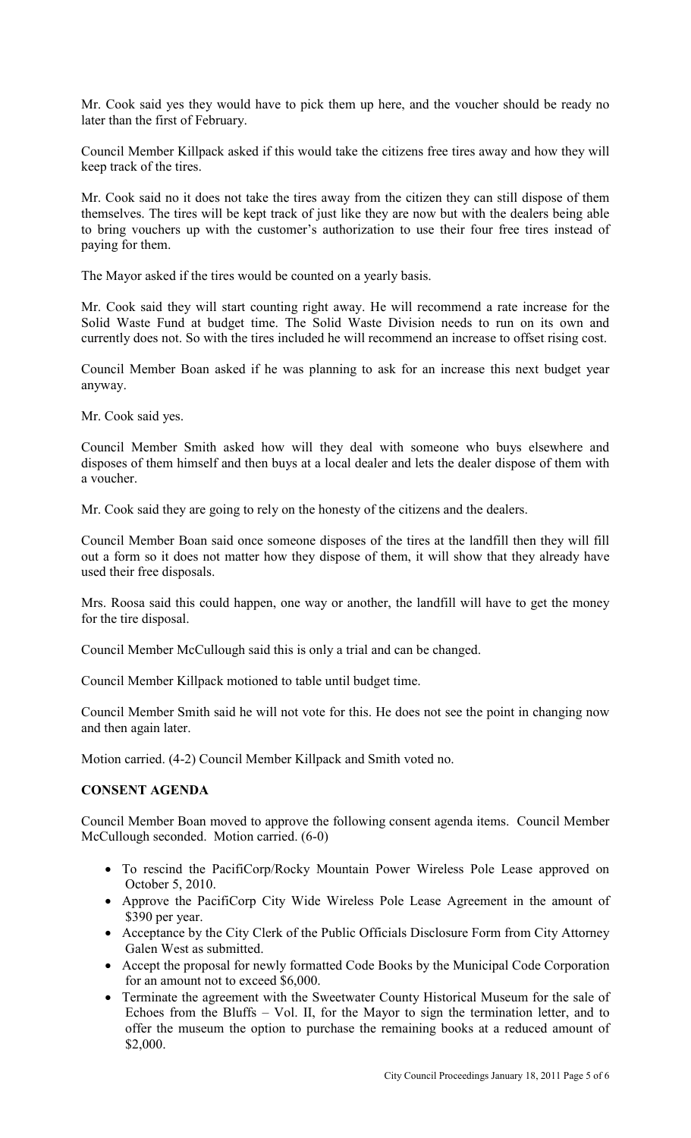Mr. Cook said yes they would have to pick them up here, and the voucher should be ready no later than the first of February.

Council Member Killpack asked if this would take the citizens free tires away and how they will keep track of the tires.

Mr. Cook said no it does not take the tires away from the citizen they can still dispose of them themselves. The tires will be kept track of just like they are now but with the dealers being able to bring vouchers up with the customer's authorization to use their four free tires instead of paying for them.

The Mayor asked if the tires would be counted on a yearly basis.

Mr. Cook said they will start counting right away. He will recommend a rate increase for the Solid Waste Fund at budget time. The Solid Waste Division needs to run on its own and currently does not. So with the tires included he will recommend an increase to offset rising cost.

Council Member Boan asked if he was planning to ask for an increase this next budget year anyway.

Mr. Cook said yes.

Council Member Smith asked how will they deal with someone who buys elsewhere and disposes of them himself and then buys at a local dealer and lets the dealer dispose of them with a voucher.

Mr. Cook said they are going to rely on the honesty of the citizens and the dealers.

Council Member Boan said once someone disposes of the tires at the landfill then they will fill out a form so it does not matter how they dispose of them, it will show that they already have used their free disposals.

Mrs. Roosa said this could happen, one way or another, the landfill will have to get the money for the tire disposal.

Council Member McCullough said this is only a trial and can be changed.

Council Member Killpack motioned to table until budget time.

Council Member Smith said he will not vote for this. He does not see the point in changing now and then again later.

Motion carried. (4-2) Council Member Killpack and Smith voted no.

# **CONSENT AGENDA**

Council Member Boan moved to approve the following consent agenda items. Council Member McCullough seconded. Motion carried. (6-0)

- To rescind the PacifiCorp/Rocky Mountain Power Wireless Pole Lease approved on October 5, 2010.
- Approve the PacifiCorp City Wide Wireless Pole Lease Agreement in the amount of \$390 per year.
- Acceptance by the City Clerk of the Public Officials Disclosure Form from City Attorney Galen West as submitted.
- Accept the proposal for newly formatted Code Books by the Municipal Code Corporation for an amount not to exceed \$6,000.
- Terminate the agreement with the Sweetwater County Historical Museum for the sale of Echoes from the Bluffs – Vol. II, for the Mayor to sign the termination letter, and to offer the museum the option to purchase the remaining books at a reduced amount of \$2,000.